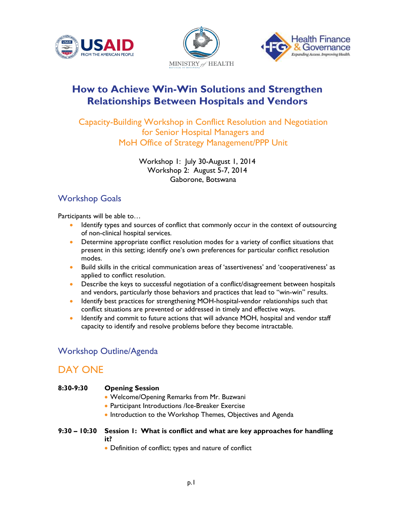





# **How to Achieve Win-Win Solutions and Strengthen Relationships Between Hospitals and Vendors**

Capacity-Building Workshop in Conflict Resolution and Negotiation for Senior Hospital Managers and MoH Office of Strategy Management/PPP Unit

> Workshop 1: July 30-August 1, 2014 Workshop 2: August 5-7, 2014 Gaborone, Botswana

### Workshop Goals

Participants will be able to…

- Identify types and sources of conflict that commonly occur in the context of outsourcing of non-clinical hospital services.
- Determine appropriate conflict resolution modes for a variety of conflict situations that present in this setting; identify one's own preferences for particular conflict resolution modes.
- Build skills in the critical communication areas of 'assertiveness' and 'cooperativeness' as applied to conflict resolution.
- Describe the keys to successful negotiation of a conflict/disagreement between hospitals and vendors, particularly those behaviors and practices that lead to "win-win" results.
- Identify best practices for strengthening MOH-hospital-vendor relationships such that conflict situations are prevented or addressed in timely and effective ways.
- Identify and commit to future actions that will advance MOH, hospital and vendor staff capacity to identify and resolve problems before they become intractable.

### Workshop Outline/Agenda

## DAY ONE

# **8:30-9:30 Opening Session**  • Welcome/Opening Remarks from Mr. Buzwani • Participant Introductions /Ice-Breaker Exercise • Introduction to the Workshop Themes, Objectives and Agenda

- **9:30 – 10:30 Session 1: What is conflict and what are key approaches for handling it?** 
	- Definition of conflict; types and nature of conflict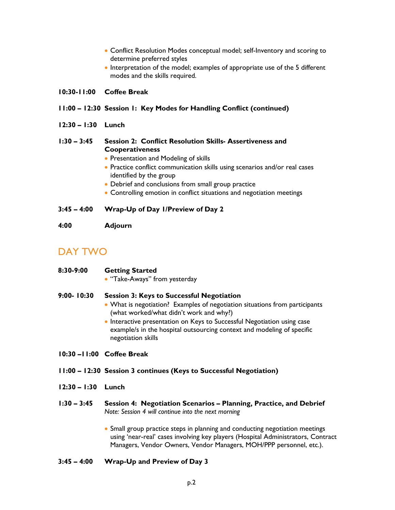- Conflict Resolution Modes conceptual model; self-Inventory and scoring to determine preferred styles
- Interpretation of the model; examples of appropriate use of the 5 different modes and the skills required.

#### **10:30-11:00 Coffee Break**

#### **11:00 – 12:30 Session 1: Key Modes for Handling Conflict (continued)**

**12:30 – 1:30 Lunch**

#### **1:30 – 3:45 Session 2: Conflict Resolution Skills- Assertiveness and Cooperativeness**

- Presentation and Modeling of skills
- Practice conflict communication skills using scenarios and/or real cases identified by the group
- Debrief and conclusions from small group practice
- Controlling emotion in conflict situations and negotiation meetings

#### **3:45 – 4:00 Wrap-Up of Day 1/Preview of Day 2**

**4:00 Adjourn** 

## DAY TWO

• "Take-Aways" from yesterday

#### **9:00- 10:30 Session 3: Keys to Successful Negotiation**

- What is negotiation? Examples of negotiation situations from participants (what worked/what didn't work and why?)
- Interactive presentation on Keys to Successful Negotiation using case example/s in the hospital outsourcing context and modeling of specific negotiation skills

#### **10:30 –11:00 Coffee Break**

- **11:00 – 12:30 Session 3 continues (Keys to Successful Negotiation)**
- **12:30 – 1:30 Lunch**
- **1:30 – 3:45 Session 4: Negotiation Scenarios – Planning, Practice, and Debrief** *Note: Session 4 will continue into the next morning*
	- Small group practice steps in planning and conducting negotiation meetings using 'near-real' cases involving key players (Hospital Administrators, Contract Managers, Vendor Owners, Vendor Managers, MOH/PPP personnel, etc.).
- **3:45 – 4:00 Wrap-Up and Preview of Day 3**